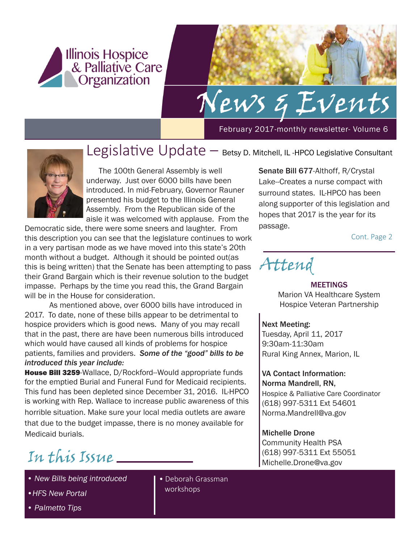

# News & Events

February 2017-monthly newsletter- Volume 6



### Legislative Update – Betsy D. Mitchell, IL -HPCO Legislative Consultant

The 100th General Assembly is well underway. Just over 6000 bills have been introduced. In mid-February, Governor Rauner presented his budget to the Illinois General Assembly. From the Republican side of the aisle it was welcomed with applause. From the

Democratic side, there were some sneers and laughter. From this description you can see that the legislature continues to work in a very partisan mode as we have moved into this state's 20th month without a budget. Although it should be pointed out(as this is being written) that the Senate has been attempting to pass their Grand Bargain which is their revenue solution to the budget impasse. Perhaps by the time you read this, the Grand Bargain will be in the House for consideration.

As mentioned above, over 6000 bills have introduced in 2017. To date, none of these bills appear to be detrimental to hospice providers which is good news. Many of you may recall that in the past, there are have been numerous bills introduced which would have caused all kinds of problems for hospice patients, families and providers. *Some of the "good" bills to be introduced this year include:*

House Bill 3259-Wallace, D/Rockford-Would appropriate funds for the emptied Burial and Funeral Fund for Medicaid recipients. This fund has been depleted since December 31, 2016. IL-HPCO is working with Rep. Wallace to increase public awareness of this horrible situation. Make sure your local media outlets are aware that due to the budget impasse, there is no money available for Medicaid burials.

# Michelle.Drone@va.gov In this Issue

- *New Bills being introduced*
- *•HFS New Portal*

• Deborah Grassman workshops

Senate Bill 677-Althoff, R/Crystal Lake--Creates a nurse compact with surround states. IL-HPCO has been along supporter of this legislation and hopes that 2017 is the year for its passage.

Cont. Page 2

Attend

### MEETINGS Marion VA Healthcare System Hospice Veteran Partnership

### Next Meeting:

Tuesday, April 11, 2017 9:30am-11:30am Rural King Annex, Marion, IL

#### VA Contact Information: Norma Mandrell, RN,

Hospice & Palliative Care Coordinator (618) 997-5311 Ext 54601 Norma.Mandrell@va.gov

### Michelle Drone

Community Health PSA (618) 997-5311 Ext 55051

*• Palmetto Tips*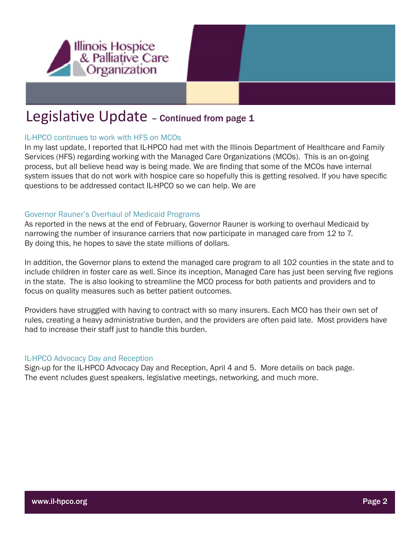

### Legislative Update - continued from page 1

### IL-HPCO continues to work with HFS on MCOs

In my last update, I reported that IL-HPCO had met with the Illinois Department of Healthcare and Family Services (HFS) regarding working with the Managed Care Organizations (MCOs). This is an on-going process, but all believe head way is being made. We are finding that some of the MCOs have internal system issues that do not work with hospice care so hopefully this is getting resolved. If you have specific questions to be addressed contact IL-HPCO so we can help. We are

### Governor Rauner's Overhaul of Medicaid Programs

As reported in the news at the end of February, Governor Rauner is working to overhaul Medicaid by narrowing the number of insurance carriers that now participate in managed care from 12 to 7. By doing this, he hopes to save the state millions of dollars.

In addition, the Governor plans to extend the managed care program to all 102 counties in the state and to include children in foster care as well. Since its inception, Managed Care has just been serving five regions in the state. The is also looking to streamline the MCO process for both patients and providers and to focus on quality measures such as better patient outcomes.

Providers have struggled with having to contract with so many insurers. Each MCO has their own set of rules, creating a heavy administrative burden, and the providers are often paid late. Most providers have had to increase their staff just to handle this burden.

### IL-HPCO Advocacy Day and Reception

Sign-up for the IL-HPCO Advocacy Day and Reception, April 4 and 5. More details on back page. The event ncludes guest speakers, legislative meetings, networking, and much more.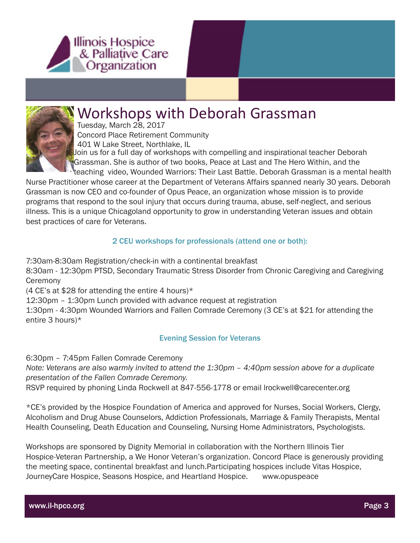



### Workshops with Deborah Grassman

Tuesday, March 28, 2017 Concord Place Retirement Community 401 W Lake Street, Northlake, IL

 Join us for a full day of workshops with compelling and inspirational teacher Deborah Grassman. She is author of two books, Peace at Last and The Hero Within, and the

teaching video, Wounded Warriors: Their Last Battle. Deborah Grassman is a mental health Nurse Practitioner whose career at the Department of Veterans Affairs spanned nearly 30 years. Deborah Grassman is now CEO and co-founder of Opus Peace, an organization whose mission is to provide programs that respond to the soul injury that occurs during trauma, abuse, self-neglect, and serious illness. This is a unique Chicagoland opportunity to grow in understanding Veteran issues and obtain best practices of care for Veterans.

### 2 CEU workshops for professionals (attend one or both):

7:30am-8:30am Registration/check-in with a continental breakfast

8:30am - 12:30pm PTSD, Secondary Traumatic Stress Disorder from Chronic Caregiving and Caregiving **Ceremony** 

(4 CE's at \$28 for attending the entire 4 hours)\*

12:30pm – 1:30pm Lunch provided with advance request at registration

1:30pm - 4:30pm Wounded Warriors and Fallen Comrade Ceremony (3 CE's at \$21 for attending the entire 3 hours)\*

### Evening Session for Veterans

6:30pm – 7:45pm Fallen Comrade Ceremony

*Note: Veterans are also warmly invited to attend the 1:30pm – 4:40pm session above for a duplicate presentation of the Fallen Comrade Ceremony.*

RSVP required by phoning Linda Rockwell at 847-556-1778 or email lrockwell@carecenter.org

\*CE's provided by the Hospice Foundation of America and approved for Nurses, Social Workers, Clergy, Alcoholism and Drug Abuse Counselors, Addiction Professionals, Marriage & Family Therapists, Mental Health Counseling, Death Education and Counseling, Nursing Home Administrators, Psychologists.

Workshops are sponsored by Dignity Memorial in collaboration with the Northern Illinois Tier Hospice-Veteran Partnership, a We Honor Veteran's organization. Concord Place is generously providing the meeting space, continental breakfast and lunch.Participating hospices include Vitas Hospice, JourneyCare Hospice, Seasons Hospice, and Heartland Hospice. www.opuspeace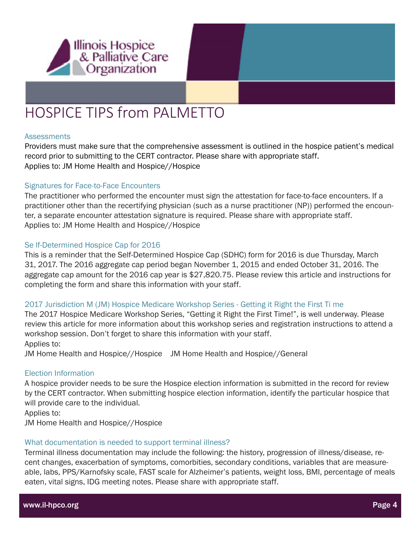

# HOSPICE TIPS from PALMETTO

#### **Assessments**

Providers must make sure that the comprehensive assessment is outlined in the hospice patient's medical record prior to submitting to the CERT contractor. Please share with appropriate staff. Applies to: JM Home Health and Hospice//Hospice

### Signatures for Face-to-Face Encounters

The practitioner who performed the encounter must sign the attestation for face-to-face encounters. If a practitioner other than the recertifying physician (such as a nurse practitioner (NP)) performed the encounter, a separate encounter attestation signature is required. Please share with appropriate staff. Applies to: JM Home Health and Hospice//Hospice

### Se lf-Determined Hospice Cap for 2016

This is a reminder that the Self-Determined Hospice Cap (SDHC) form for 2016 is due Thursday, March 31, 2017. The 2016 aggregate cap period began November 1, 2015 and ended October 31, 2016. The aggregate cap amount for the 2016 cap year is \$27,820.75. Please review this article and instructions for completing the form and share this information with your staff.

### 2017 Jurisdiction M (JM) Hospice Medicare Workshop Series - Getting it Right the First Ti me

The 2017 Hospice Medicare Workshop Series, "Getting it Right the First Time!", is well underway. Please review this article for more information about this workshop series and registration instructions to attend a workshop session. Don't forget to share this information with your staff. Applies to:

JM Home Health and Hospice//Hospice JM Home Health and Hospice//General

### Election Information

A hospice provider needs to be sure the Hospice election information is submitted in the record for review by the CERT contractor. When submitting hospice election information, identify the particular hospice that will provide care to the individual.

Applies to: JM Home Health and Hospice//Hospice

#### What documentation is needed to support terminal illness?

Terminal illness documentation may include the following: the history, progression of illness/disease, recent changes, exacerbation of symptoms, comorbities, secondary conditions, variables that are measureable, labs, PPS/Karnofsky scale, FAST scale for Alzheimer's patients, weight loss, BMI, percentage of meals eaten, vital signs, IDG meeting notes. Please share with appropriate staff.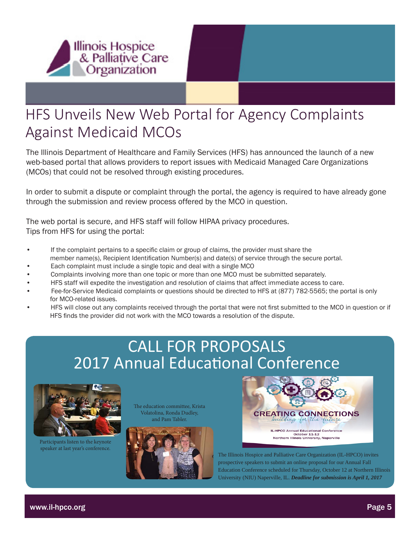

## HFS Unveils New Web Portal for Agency Complaints Against Medicaid MCOs

The Illinois Department of Healthcare and Family Services (HFS) has announced the launch of a new web-based portal that allows providers to report issues with Medicaid Managed Care Organizations (MCOs) that could not be resolved through existing procedures.

In order to submit a dispute or complaint through the portal, the agency is required to have already gone through the submission and review process offered by the MCO in question.

The web portal is secure, and HFS staff will follow HIPAA privacy procedures. Tips from HFS for using the portal:

- If the complaint pertains to a specific claim or group of claims, the provider must share the member name(s), Recipient Identification Number(s) and date(s) of service through the secure portal.
- Each complaint must include a single topic and deal with a single MCO
- Complaints involving more than one topic or more than one MCO must be submitted separately.
- HFS staff will expedite the investigation and resolution of claims that affect immediate access to care.
- Fee-for-Service Medicaid complaints or questions should be directed to HFS at (877) 782-5565; the portal is only for MCO-related issues.
- HFS will close out any complaints received through the portal that were not first submitted to the MCO in question or if HFS finds the provider did not work with the MCO towards a resolution of the dispute.

# CALL FOR PROPOSALS 2017 Annual Educational Conference



Participants listen to the keynote speaker at last year's conference.

The education committee, Krista Volatolina, Ronda Dudley, and Pam Tabler.





The Illinois Hospice and Palliative Care Organization (IL-HPCO) invites prospective speakers to submit an online proposal for our Annual Fall Education Conference scheduled for Thursday, October 12 at Northern Illinois University (NIU) Naperville, IL. *Deadline for submission is April 1, 2017*

www.il-hpco.org Page 5